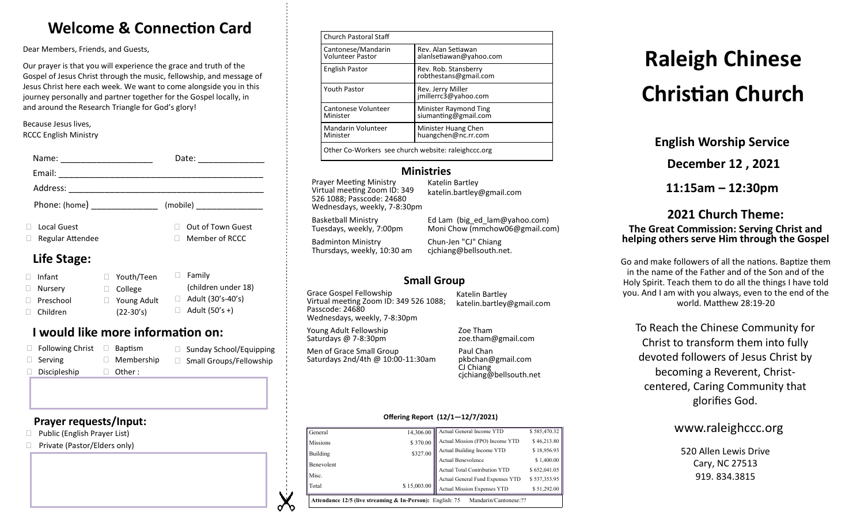# **Welcome & Connection Card**

Dear Members, Friends, and Guests,

Our prayer is that you will experience the grace and truth of the Gospel of Jesus Christ through the music, fellowship, and message of Jesus Christ here each week. We want to come alongside you in this journey personally and partner together for the Gospel locally, in and around the Research Triangle for God's glory!

Because Jesus lives, RCCC English Ministry

| Name:<br><u> 1980 - Jan Samuel Barbara, margaret e</u>                                                                                                                                                                                                                                                                                                                                                                                                          | Date:<br>the control of the control of the |
|-----------------------------------------------------------------------------------------------------------------------------------------------------------------------------------------------------------------------------------------------------------------------------------------------------------------------------------------------------------------------------------------------------------------------------------------------------------------|--------------------------------------------|
| Email:<br>$\begin{tabular}{ccccc} \multicolumn{2}{c }{\textbf{1} & \multicolumn{2}{c }{\textbf{2} & \multicolumn{2}{c }{\textbf{3} & \multicolumn{2}{c }{\textbf{4} & \multicolumn{2}{c }{\textbf{5} & \multicolumn{2}{c }{\textbf{6} & \multicolumn{2}{c }{\textbf{6} & \multicolumn{2}{c }{\textbf{6} & \multicolumn{2}{c }{\textbf{6} & \multicolumn{2}{c }{\textbf{6} & \multicolumn{2}{c }{\textbf{6} & \multicolumn{2}{c }{\textbf{6} & \multicolumn{2}{$ |                                            |
|                                                                                                                                                                                                                                                                                                                                                                                                                                                                 |                                            |
| Phone: (home) _______________                                                                                                                                                                                                                                                                                                                                                                                                                                   |                                            |
| <b>Local Guest</b><br>Regular Attendee                                                                                                                                                                                                                                                                                                                                                                                                                          | Out of Town Guest<br>Member of RCCC        |
| Life Stage:                                                                                                                                                                                                                                                                                                                                                                                                                                                     |                                            |

#### □ Infant □ Nurserv □ Preschool Children □ Family (children under 18)  $\Box$  Adult (30's-40's)  $\Box$  Adult (50's +) Youth/Teen College □ Young Adult (22-30's)

# **I would like more information on:**

| $\Box$ Following Christ | Baptism           | □ Sunday School/Equipping      |
|-------------------------|-------------------|--------------------------------|
| $\Box$ Serving          | $\Box$ Membership | $\Box$ Small Groups/Fellowship |
| $\Box$ Discipleship     | $\Box$ Other:     |                                |

# **Prayer requests/Input:**

- □ Public (English Prayer List)
- □ Private (Pastor/Elders only)

| <b>Church Pastoral Staff</b>                        |                                               |  |
|-----------------------------------------------------|-----------------------------------------------|--|
| Cantonese/Mandarin<br><b>Volunteer Pastor</b>       | Rev. Alan Setiawan<br>alanlsetiawan@yahoo.com |  |
| <b>English Pastor</b>                               | Rev. Rob. Stansberry<br>robthestans@gmail.com |  |
| <b>Youth Pastor</b>                                 | Rev. Jerry Miller<br>jmillerrc3@yahoo.com     |  |
| Cantonese Volunteer<br>Minister                     | Minister Raymond Ting<br>siumanting@gmail.com |  |
| Mandarin Volunteer<br>Minister                      | Minister Huang Chen<br>huangchen@nc.rr.com    |  |
| Other Co-Workers see church website: raleighccc.org |                                               |  |

# **Ministries**

Prayer Meeting Ministry Virtual meeting Zoom ID: 349 526 1088; Passcode: 24680 Wednesdays, weekly, 7-8:30pm

Katelin Bartley katelin.bartley@gmail.com

Basketball Ministry Tuesdays, weekly, 7:00pm

Badminton Ministry Thursdays, weekly, 10:30 am

Ed Lam (big\_ed\_lam@yahoo.com) Moni Chow (mmchow06@gmail.com) Chun-Jen "CJ" Chiang cjchiang@bellsouth.net.

# **Small Group**

Grace Gospel Fellowship Virtual meeting Zoom ID: 349 526 1088; Passcode: 24680 Wednesdays, weekly, 7-8:30pm

Young Adult Fellowship Saturdays @ 7-8:30pm

Men of Grace Small Group

Katelin Bartley katelin.bartley@gmail.com

Zoe Tham zoe.tham@gmail.com

Saturdays 2nd/4th @ 10:00-11:30am Paul Chan pkbchan@gmail.com CJ Chiang cjchiang@bellsouth.net

#### **Offering Report (12/1—12/7/2021)**

|                 | \$15,003.00 | <b>Actual Mission Expenses YTD</b>   | \$51,292.00  |
|-----------------|-------------|--------------------------------------|--------------|
| Total           |             |                                      |              |
| Misc.           |             | Actual General Fund Expenses YTD     | \$537,353.95 |
|                 |             | <b>Actual Total Contribution YTD</b> | \$652,041.05 |
| Benevolent      |             | <b>Actual Benevolence</b>            | \$1,400.00   |
| Building        | \$327.00    | Actual Building Income YTD           | \$18,956.93  |
| <b>Missions</b> | \$370.00    | Actual Mission (FPO) Income YTD      | \$46,213.80  |
| General         | 14,306.00   | Actual General Income YTD            | \$585,470.32 |

# **Raleigh Chinese Christian Church**

**English Worship Service**

**December 12 , 2021**

**11:15am – 12:30pm**

# **2021 Church Theme: The Great Commission: Serving Christ and helping others serve Him through the Gospel**

Go and make followers of all the nations. Baptize them in the name of the Father and of the Son and of the Holy Spirit. Teach them to do all the things I have told you. And I am with you always, even to the end of the world. Matthew 28:19-20

To Reach the Chinese Community for Christ to transform them into fully devoted followers of Jesus Christ by becoming a Reverent, Christcentered, Caring Community that glorifies God.

# www.raleighccc.org

520 Allen Lewis Drive Cary, NC 27513 919.834.3815